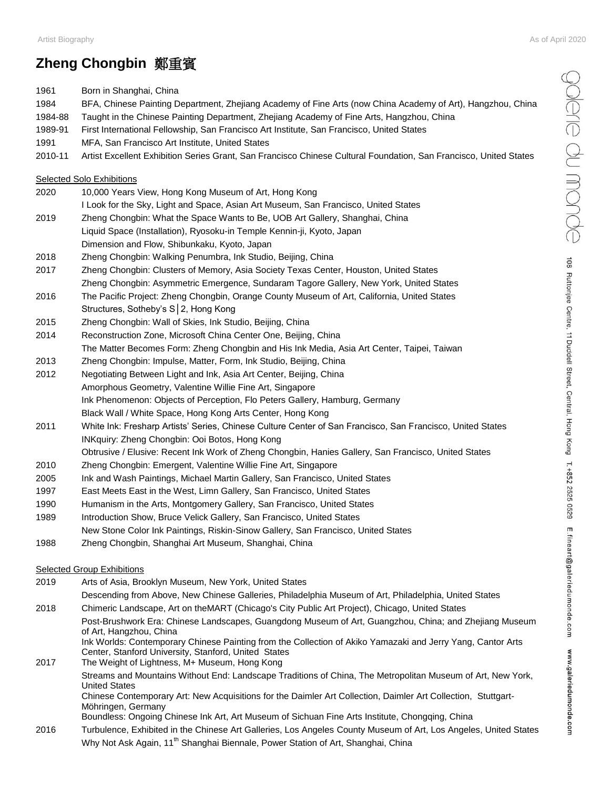## Artist Biography As of April 2020

## **Zheng Chongbin** 鄭重賓

1961 Born in Shanghai, China

1984 BFA, Chinese Painting Department, Zhejiang Academy of Fine Arts (now China Academy of Art), Hangzhou, China 1984-88 Taught in the Chinese Painting Department, Zhejiang Academy of Fine Arts, Hangzhou, China 1989-91 First International Fellowship, San Francisco Art Institute, San Francisco, United States 1991 MFA, San Francisco Art Institute, United States 2010-11 Artist Excellent Exhibition Series Grant, San Francisco Chinese Cultural Foundation, San Francisco, United States Selected Solo Exhibitions 2020 10,000 Years View, Hong Kong Museum of Art, Hong Kong I Look for the Sky, Light and Space, Asian Art Museum, San Francisco, United States 2019 Zheng Chongbin: What the Space Wants to Be, UOB Art Gallery, Shanghai, China Liquid Space (Installation), Ryosoku-in Temple Kennin-ji, Kyoto, Japan Dimension and Flow, Shibunkaku, Kyoto, Japan 2018 Zheng Chongbin: Walking Penumbra, Ink Studio, Beijing, China 2017 Zheng Chongbin: Clusters of Memory, Asia Society Texas Center, Houston, United States Zheng Chongbin: Asymmetric Emergence, Sundaram Tagore Gallery, New York, United States 2016 The Pacific Project: Zheng Chongbin, Orange County Museum of Art, California, United States Structures, Sotheby's S│2, Hong Kong 2015 Zheng Chongbin: Wall of Skies, Ink Studio, Beijing, China 2014 Reconstruction Zone, Microsoft China Center One, Beijing, China The Matter Becomes Form: Zheng Chongbin and His Ink Media, Asia Art Center, Taipei, Taiwan 2013 Zheng Chongbin: Impulse, Matter, Form, Ink Studio, Beijing, China 2012 Negotiating Between Light and Ink, Asia Art Center, Beijing, China Amorphous Geometry, Valentine Willie Fine Art, Singapore Ink Phenomenon: Objects of Perception, Flo Peters Gallery, Hamburg, Germany Black Wall / White Space, Hong Kong Arts Center, Hong Kong 2011 White Ink: Fresharp Artists' Series, Chinese Culture Center of San Francisco, San Francisco, United States INKquiry: Zheng Chongbin: Ooi Botos, Hong Kong Obtrusive / Elusive: Recent Ink Work of Zheng Chongbin, Hanies Gallery, San Francisco, United States 2010 Zheng Chongbin: Emergent, Valentine Willie Fine Art, Singapore 2005 Ink and Wash Paintings, Michael Martin Gallery, San Francisco, United States 1997 East Meets East in the West, Limn Gallery, San Francisco, United States 1990 Humanism in the Arts, Montgomery Gallery, San Francisco, United States 1989 Introduction Show, Bruce Velick Gallery, San Francisco, United States New Stone Color Ink Paintings, Riskin-Sinow Gallery, San Francisco, United States 1988 Zheng Chongbin, Shanghai Art Museum, Shanghai, China Selected Group Exhibitions 2019 Arts of Asia, Brooklyn Museum, New York, United States Descending from Above, New Chinese Galleries, Philadelphia Museum of Art, Philadelphia, United States 2018 Chimeric Landscape, Art on theMART (Chicago's City Public Art Project), Chicago, United States Post-Brushwork Era: Chinese Landscapes, Guangdong Museum of Art, Guangzhou, China; and Zhejiang Museum of Art, Hangzhou, China Ink Worlds: Contemporary Chinese Painting from the Collection of Akiko Yamazaki and Jerry Yang, Cantor Arts Center, Stanford University, Stanford, United States 2017 The Weight of Lightness, M+ Museum, Hong Kong Streams and Mountains Without End: Landscape Traditions of China, The Metropolitan Museum of Art, New York, United States Chinese Contemporary Art: New Acquisitions for the Daimler Art Collection, Daimler Art Collection, Stuttgart-Möhringen, Germany Boundless: Ongoing Chinese Ink Art, Art Museum of Sichuan Fine Arts Institute, Chongqing, China 2016 Turbulence, Exhibited in the Chinese Art Galleries, Los Angeles County Museum of Art, Los Angeles, United States Why Not Ask Again, 11<sup>th</sup> Shanghai Biennale, Power Station of Art, Shanghai, China